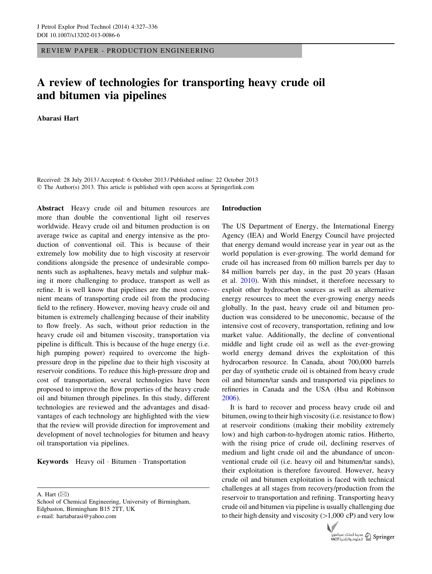REVIEW PAPER - PRODUCTION ENGINEERING

# A review of technologies for transporting heavy crude oil and bitumen via pipelines

Abarasi Hart

Received: 28 July 2013 / Accepted: 6 October 2013 / Published online: 22 October 2013 © The Author(s) 2013. This article is published with open access at Springerlink.com

Abstract Heavy crude oil and bitumen resources are more than double the conventional light oil reserves worldwide. Heavy crude oil and bitumen production is on average twice as capital and energy intensive as the production of conventional oil. This is because of their extremely low mobility due to high viscosity at reservoir conditions alongside the presence of undesirable components such as asphaltenes, heavy metals and sulphur making it more challenging to produce, transport as well as refine. It is well know that pipelines are the most convenient means of transporting crude oil from the producing field to the refinery. However, moving heavy crude oil and bitumen is extremely challenging because of their inability to flow freely. As such, without prior reduction in the heavy crude oil and bitumen viscosity, transportation via pipeline is difficult. This is because of the huge energy (i.e. high pumping power) required to overcome the highpressure drop in the pipeline due to their high viscosity at reservoir conditions. To reduce this high-pressure drop and cost of transportation, several technologies have been proposed to improve the flow properties of the heavy crude oil and bitumen through pipelines. In this study, different technologies are reviewed and the advantages and disadvantages of each technology are highlighted with the view that the review will provide direction for improvement and development of novel technologies for bitumen and heavy oil transportation via pipelines.

Keywords Heavy oil - Bitumen - Transportation

A. Hart  $(\boxtimes)$ 

School of Chemical Engineering, University of Birmingham, Edgbaston, Birmingham B15 2TT, UK e-mail: hartabarasi@yahoo.com

### Introduction

The US Department of Energy, the International Energy Agency (IEA) and World Energy Council have projected that energy demand would increase year in year out as the world population is ever-growing. The world demand for crude oil has increased from 60 million barrels per day to 84 million barrels per day, in the past 20 years (Hasan et al. [2010\)](#page-9-0). With this mindset, it therefore necessary to exploit other hydrocarbon sources as well as alternative energy resources to meet the ever-growing energy needs globally. In the past, heavy crude oil and bitumen production was considered to be uneconomic, because of the intensive cost of recovery, transportation, refining and low market value. Additionally, the decline of conventional middle and light crude oil as well as the ever-growing world energy demand drives the exploitation of this hydrocarbon resource. In Canada, about 700,000 barrels per day of synthetic crude oil is obtained from heavy crude oil and bitumen/tar sands and transported via pipelines to refineries in Canada and the USA (Hsu and Robinson [2006](#page-9-0)).

It is hard to recover and process heavy crude oil and bitumen, owing to their high viscosity (i.e. resistance to flow) at reservoir conditions (making their mobility extremely low) and high carbon-to-hydrogen atomic ratios. Hitherto, with the rising price of crude oil, declining reserves of medium and light crude oil and the abundance of unconventional crude oil (i.e. heavy oil and bitumen/tar sands), their exploitation is therefore favoured. However, heavy crude oil and bitumen exploitation is faced with technical challenges at all stages from recovery/production from the reservoir to transportation and refining. Transporting heavy crude oil and bitumen via pipeline is usually challenging due to their high density and viscosity  $(>1,000 \text{ cP})$  and very low

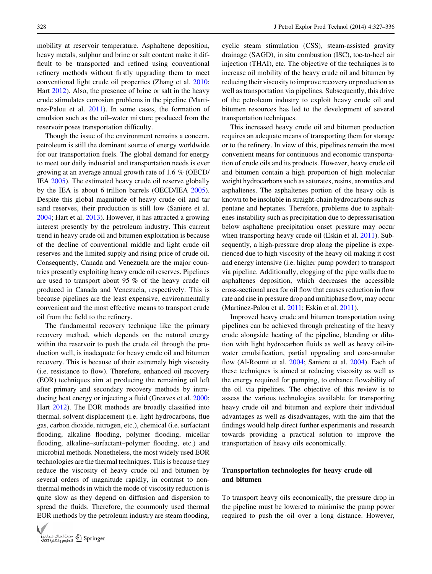mobility at reservoir temperature. Asphaltene deposition, heavy metals, sulphur and brine or salt content make it difficult to be transported and refined using conventional refinery methods without firstly upgrading them to meet conventional light crude oil properties (Zhang et al. [2010](#page-9-0); Hart [2012\)](#page-9-0). Also, the presence of brine or salt in the heavy crude stimulates corrosion problems in the pipeline (Martinez-Palou et al. [2011](#page-9-0)). In some cases, the formation of emulsion such as the oil–water mixture produced from the reservoir poses transportation difficulty.

Though the issue of the environment remains a concern, petroleum is still the dominant source of energy worldwide for our transportation fuels. The global demand for energy to meet our daily industrial and transportation needs is ever growing at an average annual growth rate of 1.6 % (OECD/ IEA [2005](#page-9-0)). The estimated heavy crude oil reserve globally by the IEA is about 6 trillion barrels (OECD/IEA [2005](#page-9-0)). Despite this global magnitude of heavy crude oil and tar sand reserves, their production is still low (Saniere et al. [2004;](#page-9-0) Hart et al. [2013](#page-9-0)). However, it has attracted a growing interest presently by the petroleum industry. This current trend in heavy crude oil and bitumen exploitation is because of the decline of conventional middle and light crude oil reserves and the limited supply and rising price of crude oil. Consequently, Canada and Venezuela are the major countries presently exploiting heavy crude oil reserves. Pipelines are used to transport about 95 % of the heavy crude oil produced in Canada and Venezuela, respectively. This is because pipelines are the least expensive, environmentally convenient and the most effective means to transport crude oil from the field to the refinery.

The fundamental recovery technique like the primary recovery method, which depends on the natural energy within the reservoir to push the crude oil through the production well, is inadequate for heavy crude oil and bitumen recovery. This is because of their extremely high viscosity (i.e. resistance to flow). Therefore, enhanced oil recovery (EOR) techniques aim at producing the remaining oil left after primary and secondary recovery methods by introducing heat energy or injecting a fluid (Greaves et al. [2000](#page-8-0); Hart [2012](#page-9-0)). The EOR methods are broadly classified into thermal, solvent displacement (i.e. light hydrocarbons, flue gas, carbon dioxide, nitrogen, etc.), chemical (i.e. surfactant flooding, alkaline flooding, polymer flooding, micellar flooding, alkaline–surfactant–polymer flooding, etc.) and microbial methods. Nonetheless, the most widely used EOR technologies are the thermal techniques. This is because they reduce the viscosity of heavy crude oil and bitumen by several orders of magnitude rapidly, in contrast to nonthermal methods in which the mode of viscosity reduction is quite slow as they depend on diffusion and dispersion to spread the fluids. Therefore, the commonly used thermal EOR methods by the petroleum industry are steam flooding,



cyclic steam stimulation (CSS), steam-assisted gravity drainage (SAGD), in situ combustion (ISC), toe-to-heel air injection (THAI), etc. The objective of the techniques is to increase oil mobility of the heavy crude oil and bitumen by reducing their viscosity to improve recovery or production as well as transportation via pipelines. Subsequently, this drive of the petroleum industry to exploit heavy crude oil and bitumen resources has led to the development of several transportation techniques.

This increased heavy crude oil and bitumen production requires an adequate means of transporting them for storage or to the refinery. In view of this, pipelines remain the most convenient means for continuous and economic transportation of crude oils and its products. However, heavy crude oil and bitumen contain a high proportion of high molecular weight hydrocarbons such as saturates, resins, aromatics and asphaltenes. The asphaltenes portion of the heavy oils is known to be insoluble in straight-chain hydrocarbons such as pentane and heptanes. Therefore, problems due to asphaltenes instability such as precipitation due to depressurisation below asphaltene precipitation onset pressure may occur when transporting heavy crude oil (Eskin et al. [2011\)](#page-8-0). Subsequently, a high-pressure drop along the pipeline is experienced due to high viscosity of the heavy oil making it cost and energy intensive (i.e. higher pump powder) to transport via pipeline. Additionally, clogging of the pipe walls due to asphaltenes deposition, which decreases the accessible cross-sectional area for oil flow that causes reduction in flow rate and rise in pressure drop and multiphase flow, may occur (Martinez-Palou et al. [2011](#page-9-0); Eskin et al. [2011\)](#page-8-0).

Improved heavy crude and bitumen transportation using pipelines can be achieved through preheating of the heavy crude alongside heating of the pipeline, blending or dilution with light hydrocarbon fluids as well as heavy oil-inwater emulsification, partial upgrading and core-annular flow (Al-Roomi et al. [2004;](#page-8-0) Saniere et al. [2004\)](#page-9-0). Each of these techniques is aimed at reducing viscosity as well as the energy required for pumping, to enhance flowability of the oil via pipelines. The objective of this review is to assess the various technologies available for transporting heavy crude oil and bitumen and explore their individual advantages as well as disadvantages, with the aim that the findings would help direct further experiments and research towards providing a practical solution to improve the transportation of heavy oils economically.

## Transportation technologies for heavy crude oil and bitumen

To transport heavy oils economically, the pressure drop in the pipeline must be lowered to minimise the pump power required to push the oil over a long distance. However,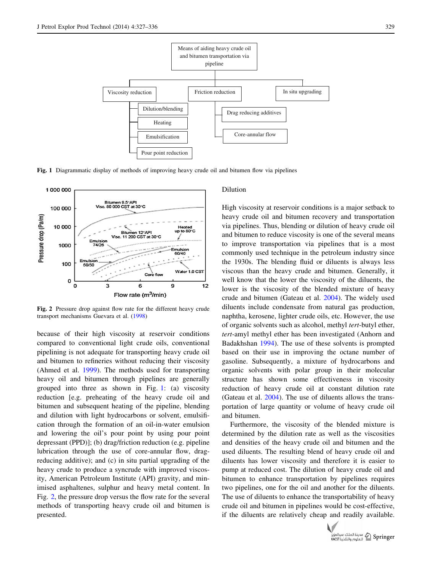



Fig. 1 Diagrammatic display of methods of improving heavy crude oil and bitumen flow via pipelines



Fig. 2 Pressure drop against flow rate for the different heavy crude transport mechanisms Guevara et al. [\(1998](#page-8-0))

because of their high viscosity at reservoir conditions compared to conventional light crude oils, conventional pipelining is not adequate for transporting heavy crude oil and bitumen to refineries without reducing their viscosity (Ahmed et al. [1999\)](#page-8-0). The methods used for transporting heavy oil and bitumen through pipelines are generally grouped into three as shown in Fig. 1: (a) viscosity reduction [e.g. preheating of the heavy crude oil and bitumen and subsequent heating of the pipeline, blending and dilution with light hydrocarbons or solvent, emulsification through the formation of an oil-in-water emulsion and lowering the oil's pour point by using pour point depressant (PPD)]; (b) drag/friction reduction (e.g. pipeline lubrication through the use of core-annular flow, dragreducing additive); and (c) in situ partial upgrading of the heavy crude to produce a syncrude with improved viscosity, American Petroleum Institute (API) gravity, and minimised asphaltenes, sulphur and heavy metal content. In Fig. 2, the pressure drop versus the flow rate for the several methods of transporting heavy crude oil and bitumen is presented.

## Dilution

High viscosity at reservoir conditions is a major setback to heavy crude oil and bitumen recovery and transportation via pipelines. Thus, blending or dilution of heavy crude oil and bitumen to reduce viscosity is one of the several means to improve transportation via pipelines that is a most commonly used technique in the petroleum industry since the 1930s. The blending fluid or diluents is always less viscous than the heavy crude and bitumen. Generally, it well know that the lower the viscosity of the diluents, the lower is the viscosity of the blended mixture of heavy crude and bitumen (Gateau et al. [2004](#page-8-0)). The widely used diluents include condensate from natural gas production, naphtha, kerosene, lighter crude oils, etc. However, the use of organic solvents such as alcohol, methyl tert-butyl ether, tert-amyl methyl ether has been investigated (Anhorn and Badakhshan [1994](#page-8-0)). The use of these solvents is prompted based on their use in improving the octane number of gasoline. Subsequently, a mixture of hydrocarbons and organic solvents with polar group in their molecular structure has shown some effectiveness in viscosity reduction of heavy crude oil at constant dilution rate (Gateau et al. [2004\)](#page-8-0). The use of diluents allows the transportation of large quantity or volume of heavy crude oil and bitumen.

Furthermore, the viscosity of the blended mixture is determined by the dilution rate as well as the viscosities and densities of the heavy crude oil and bitumen and the used diluents. The resulting blend of heavy crude oil and diluents has lower viscosity and therefore it is easier to pump at reduced cost. The dilution of heavy crude oil and bitumen to enhance transportation by pipelines requires two pipelines, one for the oil and another for the diluents. The use of diluents to enhance the transportability of heavy crude oil and bitumen in pipelines would be cost-effective, if the diluents are relatively cheap and readily available.

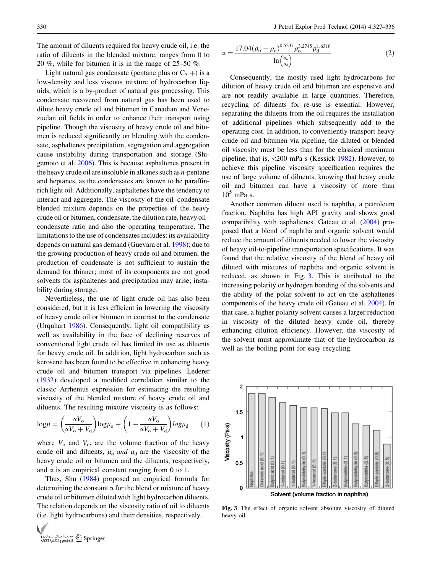The amount of diluents required for heavy crude oil, i.e. the ratio of diluents in the blended mixture, ranges from 0 to 20 %, while for bitumen it is in the range of 25–50 %.

Light natural gas condensate (pentane plus or  $C_5 +$ ) is a low-density and less viscous mixture of hydrocarbon liquids, which is a by-product of natural gas processing. This condensate recovered from natural gas has been used to dilute heavy crude oil and bitumen in Canadian and Venezuelan oil fields in order to enhance their transport using pipeline. Though the viscosity of heavy crude oil and bitumen is reduced significantly on blending with the condensate, asphaltenes precipitation, segregation and aggregation cause instability during transportation and storage (Shigemoto et al. [2006\)](#page-9-0). This is because asphaltenes present in the heavy crude oil are insoluble in alkanes such as  $n$ -pentane and heptanes, as the condensates are known to be paraffinrich light oil. Additionally, asphaltenes have the tendency to interact and aggregate. The viscosity of the oil–condensate blended mixture depends on the properties of the heavy crude oil or bitumen, condensate, the dilution rate, heavy oil– condensate ratio and also the operating temperature. The limitations to the use of condensates includes: its availability depends on natural gas demand (Guevara et al. [1998\)](#page-8-0); due to the growing production of heavy crude oil and bitumen, the production of condensate is not sufficient to sustain the demand for thinner; most of its components are not good solvents for asphaltenes and precipitation may arise; instability during storage.

Nevertheless, the use of light crude oil has also been considered, but it is less efficient in lowering the viscosity of heavy crude oil or bitumen in contrast to the condensate (Urquhart [1986](#page-9-0)). Consequently, light oil compatibility as well as availability in the face of declining reserves of conventional light crude oil has limited its use as diluents for heavy crude oil. In addition, light hydrocarbon such as kerosene has been found to be effective in enhancing heavy crude oil and bitumen transport via pipelines. Lederer [\(1933](#page-9-0)) developed a modified correlation similar to the classic Arrhenius expression for estimating the resulting viscosity of the blended mixture of heavy crude oil and diluents. The resulting mixture viscosity is as follows:

$$
\log \mu = \left(\frac{\alpha V_o}{\alpha V_o + V_d}\right) \log \mu_o + \left(1 - \frac{\alpha V_o}{\alpha V_o + V_d}\right) \log \mu_d \qquad (1)
$$

where  $V_0$  and  $V_{d}$ , are the volume fraction of the heavy crude oil and diluents,  $\mu_0$  and  $\mu_d$  are the viscosity of the heavy crude oil or bitumen and the diluents, respectively, and  $\alpha$  is an empirical constant ranging from 0 to 1.

Thus, Shu ([1984\)](#page-9-0) proposed an empirical formula for determining the constant  $\alpha$  for the blend or mixture of heavy crude oil or bitumen diluted with light hydrocarbon diluents. The relation depends on the viscosity ratio of oil to diluents (i.e. light hydrocarbons) and their densities, respectively.



$$
\alpha = \frac{17.04(\rho_0 - \rho_d)^{0.5237} \rho_0^{3.2745} \rho_d^{1.6316}}{\ln\left(\frac{\mu_0}{\mu_d}\right)}\tag{2}
$$

Consequently, the mostly used light hydrocarbons for dilution of heavy crude oil and bitumen are expensive and are not readily available in large quantities. Therefore, recycling of diluents for re-use is essential. However, separating the diluents from the oil requires the installation of additional pipelines which subsequently add to the operating cost. In addition, to conveniently transport heavy crude oil and bitumen via pipeline, the diluted or blended oil viscosity must be less than for the classical maximum pipeline, that is,\200 mPa s (Kessick [1982](#page-9-0)). However, to achieve this pipeline viscosity specification requires the use of large volume of diluents, knowing that heavy crude oil and bitumen can have a viscosity of more than  $10<sup>5</sup>$  mPa s.

Another common diluent used is naphtha, a petroleum fraction. Naphtha has high API gravity and shows good compatibility with asphaltenes. Gateau et al. [\(2004](#page-8-0)) proposed that a blend of naphtha and organic solvent would reduce the amount of diluents needed to lower the viscosity of heavy oil-to-pipeline transportation specifications. It was found that the relative viscosity of the blend of heavy oil diluted with mixtures of naphtha and organic solvent is reduced, as shown in Fig. 3. This is attributed to the increasing polarity or hydrogen bonding of the solvents and the ability of the polar solvent to act on the asphaltenes components of the heavy crude oil (Gateau et al. [2004](#page-8-0)). In that case, a higher polarity solvent causes a larger reduction in viscosity of the diluted heavy crude oil, thereby enhancing dilution efficiency. However, the viscosity of the solvent must approximate that of the hydrocarbon as well as the boiling point for easy recycling.



Fig. 3 The effect of organic solvent absolute viscosity of diluted heavy oil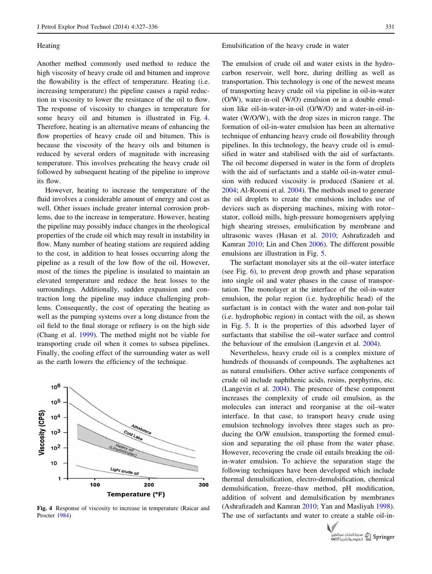### Heating

Another method commonly used method to reduce the high viscosity of heavy crude oil and bitumen and improve the flowability is the effect of temperature. Heating (i.e. increasing temperature) the pipeline causes a rapid reduction in viscosity to lower the resistance of the oil to flow. The response of viscosity to changes in temperature for some heavy oil and bitumen is illustrated in Fig. 4. Therefore, heating is an alternative means of enhancing the flow properties of heavy crude oil and bitumen. This is because the viscosity of the heavy oils and bitumen is reduced by several orders of magnitude with increasing temperature. This involves preheating the heavy crude oil followed by subsequent heating of the pipeline to improve its flow.

However, heating to increase the temperature of the fluid involves a considerable amount of energy and cost as well. Other issues include greater internal corrosion problems, due to the increase in temperature. However, heating the pipeline may possibly induce changes in the rheological properties of the crude oil which may result in instability in flow. Many number of heating stations are required adding to the cost, in addition to heat losses occurring along the pipeline as a result of the low flow of the oil. However, most of the times the pipeline is insulated to maintain an elevated temperature and reduce the heat losses to the surroundings. Additionally, sudden expansion and contraction long the pipeline may induce challenging problems. Consequently, the cost of operating the heating as well as the pumping systems over a long distance from the oil field to the final storage or refinery is on the high side (Chang et al. [1999\)](#page-8-0). The method might not be viable for transporting crude oil when it comes to subsea pipelines. Finally, the cooling effect of the surrounding water as well as the earth lowers the efficiency of the technique.



Fig. 4 Response of viscosity to increase in temperature (Raicar and Procter [1984](#page-9-0))

#### Emulsification of the heavy crude in water

The emulsion of crude oil and water exists in the hydrocarbon reservoir, well bore, during drilling as well as transportation. This technology is one of the newest means of transporting heavy crude oil via pipeline in oil-in-water (O/W), water-in-oil (W/O) emulsion or in a double emulsion like oil-in-water-in-oil (O/W/O) and water-in-oil-inwater (W/O/W), with the drop sizes in micron range. The formation of oil-in-water emulsion has been an alternative technique of enhancing heavy crude oil flowability through pipelines. In this technology, the heavy crude oil is emulsified in water and stabilised with the aid of surfactants. The oil become dispersed in water in the form of droplets with the aid of surfactants and a stable oil-in-water emulsion with reduced viscosity is produced (Saniere et al. [2004](#page-9-0); Al-Roomi et al. [2004](#page-8-0)). The methods used to generate the oil droplets to create the emulsions includes use of devices such as dispersing machines, mixing with rotor– stator, colloid mills, high-pressure homogenisers applying high shearing stresses, emulsification by membrane and ultrasonic waves (Hasan et al. [2010](#page-9-0); Ashrafizadeh and Kamran [2010](#page-8-0); Lin and Chen [2006](#page-9-0)). The different possible emulsions are illustration in Fig. [5.](#page-5-0)

The surfactant monolayer sits at the oil–water interface (see Fig. [6](#page-5-0)), to prevent drop growth and phase separation into single oil and water phases in the cause of transportation. The monolayer at the interface of the oil-in-water emulsion, the polar region (i.e. hydrophilic head) of the surfactant is in contact with the water and non-polar tail (i.e. hydrophobic region) in contact with the oil, as shown in Fig. [5](#page-5-0). It is the properties of this adsorbed layer of surfactants that stabilise the oil–water surface and control the behaviour of the emulsion (Langevin et al. [2004](#page-9-0)).

Nevertheless, heavy crude oil is a complex mixture of hundreds of thousands of compounds. The asphaltenes act as natural emulsifiers. Other active surface components of crude oil include naphthenic acids, resins, porphyrins, etc. (Langevin et al. [2004\)](#page-9-0). The presence of these component increases the complexity of crude oil emulsion, as the molecules can interact and reorganise at the oil–water interface. In that case, to transport heavy crude using emulsion technology involves three stages such as producing the O/W emulsion, transporting the formed emulsion and separating the oil phase from the water phase. However, recovering the crude oil entails breaking the oilin-water emulsion. To achieve the separation stage the following techniques have been developed which include thermal demulsification, electro-demulsification, chemical demulsification, freeze–thaw method, pH modification, addition of solvent and demulsification by membranes (Ashrafizadeh and Kamran [2010;](#page-8-0) Yan and Masliyah [1998](#page-9-0)). The use of surfactants and water to create a stable oil-in-

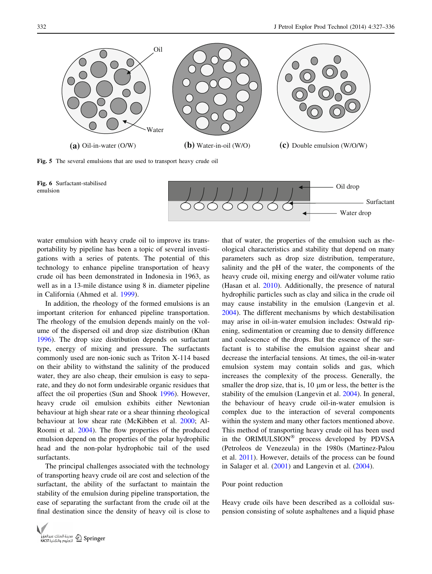<span id="page-5-0"></span>

Fig. 5 The several emulsions that are used to transport heavy crude oil





water emulsion with heavy crude oil to improve its transportability by pipeline has been a topic of several investigations with a series of patents. The potential of this technology to enhance pipeline transportation of heavy crude oil has been demonstrated in Indonesia in 1963, as well as in a 13-mile distance using 8 in. diameter pipeline in California (Ahmed et al. [1999\)](#page-8-0).

In addition, the rheology of the formed emulsions is an important criterion for enhanced pipeline transportation. The rheology of the emulsion depends mainly on the volume of the dispersed oil and drop size distribution (Khan [1996\)](#page-9-0). The drop size distribution depends on surfactant type, energy of mixing and pressure. The surfactants commonly used are non-ionic such as Triton X-114 based on their ability to withstand the salinity of the produced water, they are also cheap, their emulsion is easy to separate, and they do not form undesirable organic residues that affect the oil properties (Sun and Shook [1996\)](#page-9-0). However, heavy crude oil emulsion exhibits either Newtonian behaviour at high shear rate or a shear thinning rheological behaviour at low shear rate (McKibben et al. [2000](#page-9-0); Al-Roomi et al. [2004\)](#page-8-0). The flow properties of the produced emulsion depend on the properties of the polar hydrophilic head and the non-polar hydrophobic tail of the used surfactants.

The principal challenges associated with the technology of transporting heavy crude oil are cost and selection of the surfactant, the ability of the surfactant to maintain the stability of the emulsion during pipeline transportation, the ease of separating the surfactant from the crude oil at the final destination since the density of heavy oil is close to



that of water, the properties of the emulsion such as rheological characteristics and stability that depend on many parameters such as drop size distribution, temperature, salinity and the pH of the water, the components of the heavy crude oil, mixing energy and oil/water volume ratio (Hasan et al. [2010\)](#page-9-0). Additionally, the presence of natural hydrophilic particles such as clay and silica in the crude oil may cause instability in the emulsion (Langevin et al. [2004](#page-9-0)). The different mechanisms by which destabilisation may arise in oil-in-water emulsion includes: Ostwald ripening, sedimentation or creaming due to density difference and coalescence of the drops. But the essence of the surfactant is to stabilise the emulsion against shear and decrease the interfacial tensions. At times, the oil-in-water emulsion system may contain solids and gas, which increases the complexity of the process. Generally, the smaller the drop size, that is,  $10 \mu m$  or less, the better is the stability of the emulsion (Langevin et al. [2004\)](#page-9-0). In general, the behaviour of heavy crude oil-in-water emulsion is complex due to the interaction of several components within the system and many other factors mentioned above. This method of transporting heavy crude oil has been used in the ORIMULSION® process developed by PDVSA (Petroleos de Venezeula) in the 1980s (Martinez-Palou et al. [2011\)](#page-9-0). However, details of the process can be found in Salager et al. ([2001\)](#page-9-0) and Langevin et al. [\(2004](#page-9-0)).

#### Pour point reduction

Heavy crude oils have been described as a colloidal suspension consisting of solute asphaltenes and a liquid phase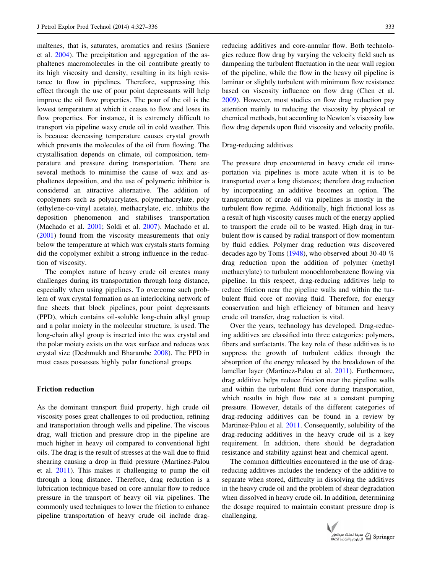maltenes, that is, saturates, aromatics and resins (Saniere et al. [2004\)](#page-9-0). The precipitation and aggregation of the asphaltenes macromolecules in the oil contribute greatly to its high viscosity and density, resulting in its high resistance to flow in pipelines. Therefore, suppressing this effect through the use of pour point depressants will help improve the oil flow properties. The pour of the oil is the lowest temperature at which it ceases to flow and loses its flow properties. For instance, it is extremely difficult to transport via pipeline waxy crude oil in cold weather. This is because decreasing temperature causes crystal growth which prevents the molecules of the oil from flowing. The crystallisation depends on climate, oil composition, temperature and pressure during transportation. There are several methods to minimise the cause of wax and asphaltenes deposition, and the use of polymeric inhibitor is considered an attractive alternative. The addition of copolymers such as polyacrylates, polymethacrylate, poly (ethylene-co-vinyl acetate), methacrylate, etc. inhibits the deposition phenomenon and stabilises transportation (Machado et al. [2001](#page-9-0); Soldi et al. [2007](#page-9-0)). Machado et al. [\(2001](#page-9-0)) found from the viscosity measurements that only below the temperature at which wax crystals starts forming did the copolymer exhibit a strong influence in the reduction of viscosity.

The complex nature of heavy crude oil creates many challenges during its transportation through long distance, especially when using pipelines. To overcome such problem of wax crystal formation as an interlocking network of fine sheets that block pipelines, pour point depressants (PPD), which contains oil-soluble long-chain alkyl group and a polar moiety in the molecular structure, is used. The long-chain alkyl group is inserted into the wax crystal and the polar moiety exists on the wax surface and reduces wax crystal size (Deshmukh and Bharambe [2008\)](#page-8-0). The PPD in most cases possesses highly polar functional groups.

## Friction reduction

As the dominant transport fluid property, high crude oil viscosity poses great challenges to oil production, refining and transportation through wells and pipeline. The viscous drag, wall friction and pressure drop in the pipeline are much higher in heavy oil compared to conventional light oils. The drag is the result of stresses at the wall due to fluid shearing causing a drop in fluid pressure (Martinez-Palou et al. [2011](#page-9-0)). This makes it challenging to pump the oil through a long distance. Therefore, drag reduction is a lubrication technique based on core-annular flow to reduce pressure in the transport of heavy oil via pipelines. The commonly used techniques to lower the friction to enhance pipeline transportation of heavy crude oil include dragreducing additives and core-annular flow. Both technologies reduce flow drag by varying the velocity field such as dampening the turbulent fluctuation in the near wall region of the pipeline, while the flow in the heavy oil pipeline is laminar or slightly turbulent with minimum flow resistance based on viscosity influence on flow drag (Chen et al. [2009](#page-8-0)). However, most studies on flow drag reduction pay attention mainly to reducing the viscosity by physical or chemical methods, but according to Newton's viscosity law flow drag depends upon fluid viscosity and velocity profile.

## Drag-reducing additives

The pressure drop encountered in heavy crude oil transportation via pipelines is more acute when it is to be transported over a long distances; therefore drag reduction by incorporating an additive becomes an option. The transportation of crude oil via pipelines is mostly in the turbulent flow regime. Additionally, high frictional loss as a result of high viscosity causes much of the energy applied to transport the crude oil to be wasted. High drag in turbulent flow is caused by radial transport of flow momentum by fluid eddies. Polymer drag reduction was discovered decades ago by Toms [\(1948](#page-9-0)), who observed about 30-40 % drag reduction upon the addition of polymer (methyl methacrylate) to turbulent monochlorobenzene flowing via pipeline. In this respect, drag-reducing additives help to reduce friction near the pipeline walls and within the turbulent fluid core of moving fluid. Therefore, for energy conservation and high efficiency of bitumen and heavy crude oil transfer, drag reduction is vital.

Over the years, technology has developed. Drag-reducing additives are classified into three categories: polymers, fibers and surfactants. The key role of these additives is to suppress the growth of turbulent eddies through the absorption of the energy released by the breakdown of the lamellar layer (Martinez-Palou et al. [2011\)](#page-9-0). Furthermore, drag additive helps reduce friction near the pipeline walls and within the turbulent fluid core during transportation, which results in high flow rate at a constant pumping pressure. However, details of the different categories of drag-reducing additives can be found in a review by Martinez-Palou et al. [2011](#page-9-0). Consequently, solubility of the drag-reducing additives in the heavy crude oil is a key requirement. In addition, there should be degradation resistance and stability against heat and chemical agent.

The common difficulties encountered in the use of dragreducing additives includes the tendency of the additive to separate when stored, difficulty in dissolving the additives in the heavy crude oil and the problem of shear degradation when dissolved in heavy crude oil. In addition, determining the dosage required to maintain constant pressure drop is challenging.

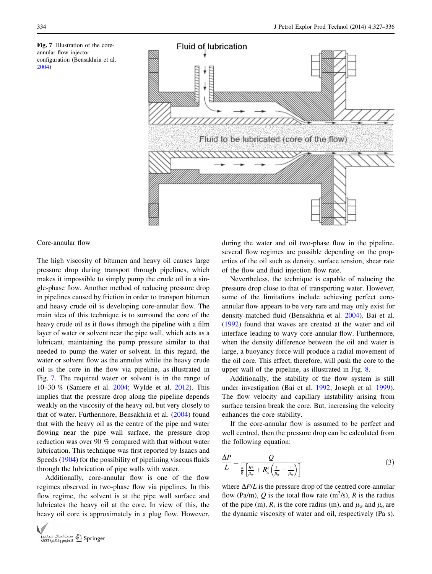



## Core-annular flow

The high viscosity of bitumen and heavy oil causes large pressure drop during transport through pipelines, which makes it impossible to simply pump the crude oil in a single-phase flow. Another method of reducing pressure drop in pipelines caused by friction in order to transport bitumen and heavy crude oil is developing core-annular flow. The main idea of this technique is to surround the core of the heavy crude oil as it flows through the pipeline with a film layer of water or solvent near the pipe wall, which acts as a lubricant, maintaining the pump pressure similar to that needed to pump the water or solvent. In this regard, the water or solvent flow as the annulus while the heavy crude oil is the core in the flow via pipeline, as illustrated in Fig. 7. The required water or solvent is in the range of 10–30 % (Saniere et al. [2004](#page-9-0); Wylde et al. [2012\)](#page-9-0). This implies that the pressure drop along the pipeline depends weakly on the viscosity of the heavy oil, but very closely to that of water. Furthermore, Bensakhria et al. [\(2004](#page-8-0)) found that with the heavy oil as the centre of the pipe and water flowing near the pipe wall surface, the pressure drop reduction was over 90 % compared with that without water lubrication. This technique was first reported by Isaacs and Speeds ([1904\)](#page-9-0) for the possibility of pipelining viscous fluids through the lubrication of pipe walls with water.

Additionally, core-annular flow is one of the flow regimes observed in two-phase flow via pipelines. In this flow regime, the solvent is at the pipe wall surface and lubricates the heavy oil at the core. In view of this, the heavy oil core is approximately in a plug flow. However,



during the water and oil two-phase flow in the pipeline, several flow regimes are possible depending on the properties of the oil such as density, surface tension, shear rate of the flow and fluid injection flow rate.

Nevertheless, the technique is capable of reducing the pressure drop close to that of transporting water. However, some of the limitations include achieving perfect coreannular flow appears to be very rare and may only exist for density-matched fluid (Bensakhria et al. [2004\)](#page-8-0). Bai et al. [\(1992](#page-8-0)) found that waves are created at the water and oil interface leading to wavy core-annular flow. Furthermore, when the density difference between the oil and water is large, a buoyancy force will produce a radial movement of the oil core. This effect, therefore, will push the core to the upper wall of the pipeline, as illustrated in Fig. [8](#page-8-0).

Additionally, the stability of the flow system is still under investigation (Bai et al. [1992](#page-8-0); Joseph et al. [1999](#page-9-0)). The flow velocity and capillary instability arising from surface tension break the core. But, increasing the velocity enhances the core stability.

If the core-annular flow is assumed to be perfect and well centred, then the pressure drop can be calculated from the following equation:

$$
\frac{\Delta P}{L} = \frac{Q}{\frac{\pi}{8} \left[ \frac{R^4}{\mu_w} + R_s^4 \left( \frac{1}{\mu_o} - \frac{1}{\mu_w} \right) \right]}
$$
(3)

where  $\Delta P/L$  is the pressure drop of the centred core-annular flow (Pa/m), Q is the total flow rate  $(m^3/s)$ , R is the radius of the pipe (m),  $R_s$  is the core radius (m), and  $\mu_w$  and  $\mu_o$  are the dynamic viscosity of water and oil, respectively (Pa s).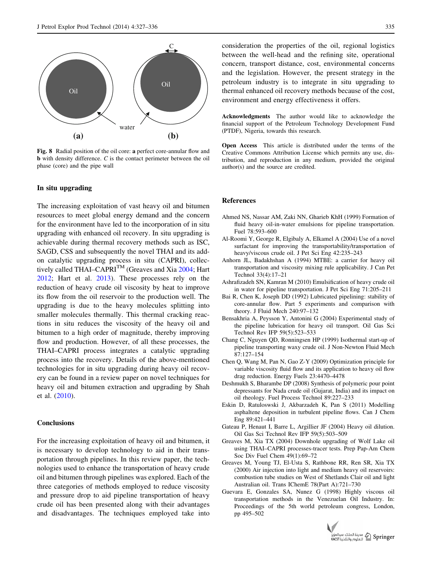<span id="page-8-0"></span>

Fig. 8 Radial position of the oil core: a perfect core-annular flow and b with density difference. C is the contact perimeter between the oil phase (core) and the pipe wall

#### In situ upgrading

The increasing exploitation of vast heavy oil and bitumen resources to meet global energy demand and the concern for the environment have led to the incorporation of in situ upgrading with enhanced oil recovery. In situ upgrading is achievable during thermal recovery methods such as ISC, SAGD, CSS and subsequently the novel THAI and its addon catalytic upgrading process in situ (CAPRI), collectively called THAI–CAPRI<sup>TM</sup> (Greaves and Xia 2004; Hart [2012;](#page-9-0) Hart et al. [2013\)](#page-9-0). These processes rely on the reduction of heavy crude oil viscosity by heat to improve its flow from the oil reservoir to the production well. The upgrading is due to the heavy molecules splitting into smaller molecules thermally. This thermal cracking reactions in situ reduces the viscosity of the heavy oil and bitumen to a high order of magnitude, thereby improving flow and production. However, of all these processes, the THAI–CAPRI process integrates a catalytic upgrading process into the recovery. Details of the above-mentioned technologies for in situ upgrading during heavy oil recovery can be found in a review paper on novel techniques for heavy oil and bitumen extraction and upgrading by Shah et al. [\(2010](#page-9-0)).

## **Conclusions**

For the increasing exploitation of heavy oil and bitumen, it is necessary to develop technology to aid in their transportation through pipelines. In this review paper, the technologies used to enhance the transportation of heavy crude oil and bitumen through pipelines was explored. Each of the three categories of methods employed to reduce viscosity and pressure drop to aid pipeline transportation of heavy crude oil has been presented along with their advantages and disadvantages. The techniques employed take into consideration the properties of the oil, regional logistics between the well-head and the refining site, operational concern, transport distance, cost, environmental concerns and the legislation. However, the present strategy in the petroleum industry is to integrate in situ upgrading to thermal enhanced oil recovery methods because of the cost, environment and energy effectiveness it offers.

Acknowledgments The author would like to acknowledge the financial support of the Petroleum Technology Development Fund (PTDF), Nigeria, towards this research.

Open Access This article is distributed under the terms of the Creative Commons Attribution License which permits any use, distribution, and reproduction in any medium, provided the original author(s) and the source are credited.

### References

- Ahmed NS, Nassar AM, Zaki NN, Gharieb KhH (1999) Formation of fluid heavy oil-in-water emulsions for pipeline transportation. Fuel 78:593–600
- Al-Roomi Y, George R, Elgibaly A, Elkamel A (2004) Use of a novel surfactant for improving the transportability/transportation of heavy/viscous crude oil. J Pet Sci Eng 42:235–243
- Anhorn JL, Badakhshan A (1994) MTBE: a carrier for heavy oil transportation and viscosity mixing rule applicability. J Can Pet Technol 33(4):17–21
- Ashrafizadeh SN, Kamran M (2010) Emulsification of heavy crude oil in water for pipeline transportation. J Pet Sci Eng 71:205–211
- Bai R, Chen K, Joseph DD (1992) Lubricated pipelining: stability of core-annular flow. Part 5 experiments and comparison with theory. J Fluid Mech 240:97–132
- Bensakhria A, Peysson Y, Antonini G (2004) Experimental study of the pipeline lubrication for heavy oil transport. Oil Gas Sci Technol Rev IFP 59(5):523–533
- Chang C, Nguyen QD, Ronningsen HP (1999) Isothermal start-up of pipeline transporting waxy crude oil. J Non-Newton Fluid Mech 87:127–154
- Chen Q, Wang M, Pan N, Gao Z-Y (2009) Optimization principle for variable viscosity fluid flow and its application to heavy oil flow drag reduction. Energy Fuels 23:4470–4478
- Deshmukh S, Bharambe DP (2008) Synthesis of polymeric pour point depressants for Nada crude oil (Gujarat, India) and its impact on oil rheology. Fuel Process Technol 89:227–233
- Eskin D, Ratuloswski J, Akbarzadeh K, Pan S (2011) Modelling asphaltene deposition in turbulent pipeline flows. Can J Chem Eng 89:421–441
- Gateau P, Henaut I, Barre L, Argillier JF (2004) Heavy oil dilution. Oil Gas Sci Technol Rev IFP 59(5):503–509
- Greaves M, Xia TX (2004) Downhole upgrading of Wolf Lake oil using THAI–CAPRI processes-tracer tests. Prep Pap-Am Chem Soc Div Fuel Chem 49(1):69–72
- Greaves M, Young TJ, El-Usta S, Rathbone RR, Ren SR, Xia TX (2000) Air injection into light and medium heavy oil reservoirs: combustion tube studies on West of Shetlands Clair oil and light Australian oil. Trans IChemE 78(Part A):721–730
- Guevara E, Gonzales SA, Nunez G (1998) Highly viscous oil transportation methods in the Venezuelan Oil Industry. In: Proceedings of the 5th world petroleum congress, London, pp 495–502